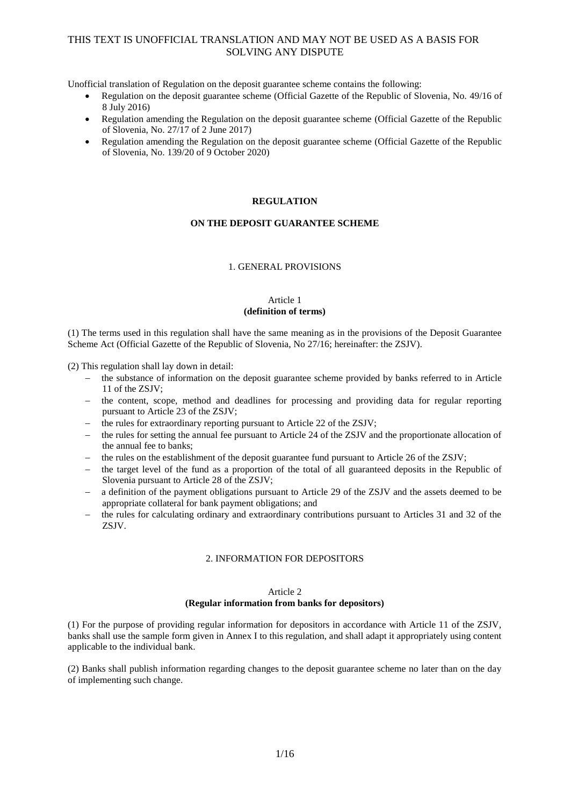Unofficial translation of Regulation on the deposit guarantee scheme contains the following:

- Regulation on the deposit guarantee scheme (Official Gazette of the Republic of Slovenia, No. 49/16 of 8 July 2016)
- Regulation amending the Regulation on the deposit guarantee scheme (Official Gazette of the Republic of Slovenia, No. 27/17 of 2 June 2017)
- Regulation amending the Regulation on the deposit guarantee scheme (Official Gazette of the Republic of Slovenia, No. 139/20 of 9 October 2020)

### **REGULATION**

### **ON THE DEPOSIT GUARANTEE SCHEME**

#### 1. GENERAL PROVISIONS

#### Article 1 **(definition of terms)**

(1) The terms used in this regulation shall have the same meaning as in the provisions of the Deposit Guarantee Scheme Act (Official Gazette of the Republic of Slovenia, No 27/16; hereinafter: the ZSJV).

(2) This regulation shall lay down in detail:

- the substance of information on the deposit guarantee scheme provided by banks referred to in Article 11 of the ZSJV;
- $\theta$  the content, scope, method and deadlines for processing and providing data for regular reporting pursuant to Article 23 of the ZSJV;
- the rules for extraordinary reporting pursuant to Article 22 of the ZSJV;
- the rules for setting the annual fee pursuant to Article 24 of the ZSJV and the proportionate allocation of the annual fee to banks;
- the rules on the establishment of the deposit guarantee fund pursuant to Article 26 of the ZSJV;
- $\theta$  the target level of the fund as a proportion of the total of all guaranteed deposits in the Republic of Slovenia pursuant to Article 28 of the ZSJV;
- a definition of the payment obligations pursuant to Article 29 of the ZSJV and the assets deemed to be appropriate collateral for bank payment obligations; and
- the rules for calculating ordinary and extraordinary contributions pursuant to Articles 31 and 32 of the ZSJV.

### 2. INFORMATION FOR DEPOSITORS

### Article 2

#### **(Regular information from banks for depositors)**

(1) For the purpose of providing regular information for depositors in accordance with Article 11 of the ZSJV, banks shall use the sample form given in Annex I to this regulation, and shall adapt it appropriately using content applicable to the individual bank.

(2) Banks shall publish information regarding changes to the deposit guarantee scheme no later than on the day of implementing such change.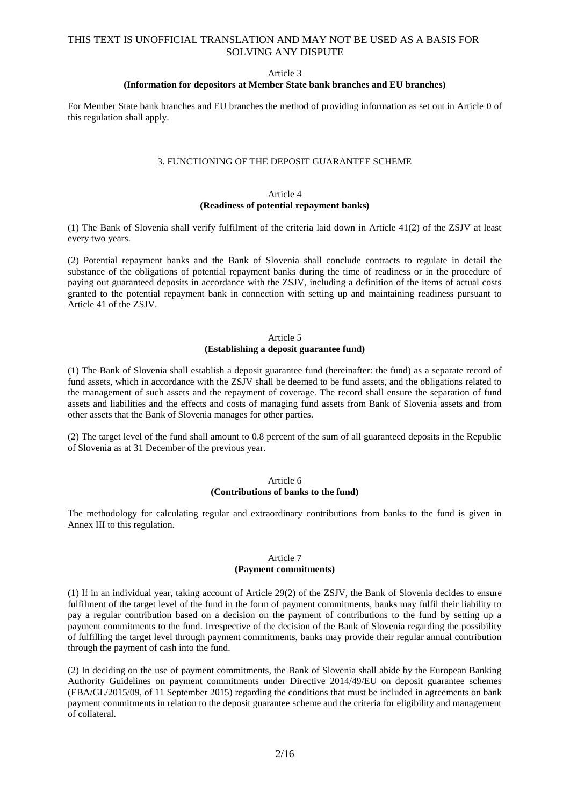#### Article 3

### **(Information for depositors at Member State bank branches and EU branches)**

For Member State bank branches and EU branches the method of providing information as set out in Article 0 of this regulation shall apply.

#### 3. FUNCTIONING OF THE DEPOSIT GUARANTEE SCHEME

#### Article 4 **(Readiness of potential repayment banks)**

(1) The Bank of Slovenia shall verify fulfilment of the criteria laid down in Article 41(2) of the ZSJV at least every two years.

(2) Potential repayment banks and the Bank of Slovenia shall conclude contracts to regulate in detail the substance of the obligations of potential repayment banks during the time of readiness or in the procedure of paying out guaranteed deposits in accordance with the ZSJV, including a definition of the items of actual costs granted to the potential repayment bank in connection with setting up and maintaining readiness pursuant to Article 41 of the ZSJV.

#### Article 5 **(Establishing a deposit guarantee fund)**

(1) The Bank of Slovenia shall establish a deposit guarantee fund (hereinafter: the fund) as a separate record of fund assets, which in accordance with the ZSJV shall be deemed to be fund assets, and the obligations related to the management of such assets and the repayment of coverage. The record shall ensure the separation of fund assets and liabilities and the effects and costs of managing fund assets from Bank of Slovenia assets and from other assets that the Bank of Slovenia manages for other parties.

(2) The target level of the fund shall amount to 0.8 percent of the sum of all guaranteed deposits in the Republic of Slovenia as at 31 December of the previous year.

#### Article 6 **(Contributions of banks to the fund)**

The methodology for calculating regular and extraordinary contributions from banks to the fund is given in Annex III to this regulation.

#### Article 7 **(Payment commitments)**

(1) If in an individual year, taking account of Article 29(2) of the ZSJV, the Bank of Slovenia decides to ensure fulfilment of the target level of the fund in the form of payment commitments, banks may fulfil their liability to pay a regular contribution based on a decision on the payment of contributions to the fund by setting up a payment commitments to the fund. Irrespective of the decision of the Bank of Slovenia regarding the possibility of fulfilling the target level through payment commitments, banks may provide their regular annual contribution through the payment of cash into the fund.

(2) In deciding on the use of payment commitments, the Bank of Slovenia shall abide by the European Banking Authority Guidelines on payment commitments under Directive 2014/49/EU on deposit guarantee schemes (EBA/GL/2015/09, of 11 September 2015) regarding the conditions that must be included in agreements on bank payment commitments in relation to the deposit guarantee scheme and the criteria for eligibility and management of collateral.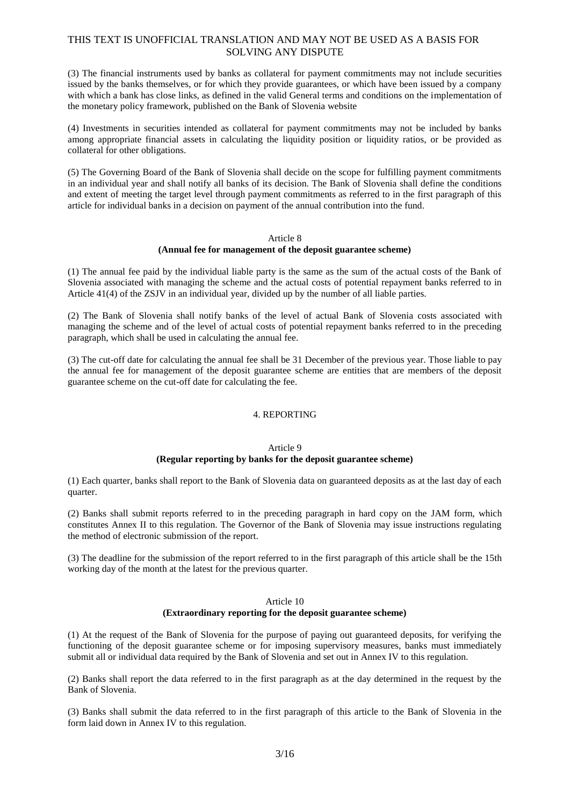(3) The financial instruments used by banks as collateral for payment commitments may not include securities issued by the banks themselves, or for which they provide guarantees, or which have been issued by a company with which a bank has close links, as defined in the valid General terms and conditions on the implementation of the monetary policy framework, published on the Bank of Slovenia website

(4) Investments in securities intended as collateral for payment commitments may not be included by banks among appropriate financial assets in calculating the liquidity position or liquidity ratios, or be provided as collateral for other obligations.

(5) The Governing Board of the Bank of Slovenia shall decide on the scope for fulfilling payment commitments in an individual year and shall notify all banks of its decision. The Bank of Slovenia shall define the conditions and extent of meeting the target level through payment commitments as referred to in the first paragraph of this article for individual banks in a decision on payment of the annual contribution into the fund.

#### Article 8

### **(Annual fee for management of the deposit guarantee scheme)**

(1) The annual fee paid by the individual liable party is the same as the sum of the actual costs of the Bank of Slovenia associated with managing the scheme and the actual costs of potential repayment banks referred to in Article 41(4) of the ZSJV in an individual year, divided up by the number of all liable parties.

(2) The Bank of Slovenia shall notify banks of the level of actual Bank of Slovenia costs associated with managing the scheme and of the level of actual costs of potential repayment banks referred to in the preceding paragraph, which shall be used in calculating the annual fee.

(3) The cut-off date for calculating the annual fee shall be 31 December of the previous year. Those liable to pay the annual fee for management of the deposit guarantee scheme are entities that are members of the deposit guarantee scheme on the cut-off date for calculating the fee.

## 4. REPORTING

## Article 9

### **(Regular reporting by banks for the deposit guarantee scheme)**

(1) Each quarter, banks shall report to the Bank of Slovenia data on guaranteed deposits as at the last day of each quarter.

(2) Banks shall submit reports referred to in the preceding paragraph in hard copy on the JAM form, which constitutes Annex II to this regulation. The Governor of the Bank of Slovenia may issue instructions regulating the method of electronic submission of the report.

(3) The deadline for the submission of the report referred to in the first paragraph of this article shall be the 15th working day of the month at the latest for the previous quarter.

#### Article 10 **(Extraordinary reporting for the deposit guarantee scheme)**

(1) At the request of the Bank of Slovenia for the purpose of paying out guaranteed deposits, for verifying the functioning of the deposit guarantee scheme or for imposing supervisory measures, banks must immediately submit all or individual data required by the Bank of Slovenia and set out in Annex IV to this regulation.

(2) Banks shall report the data referred to in the first paragraph as at the day determined in the request by the Bank of Slovenia.

(3) Banks shall submit the data referred to in the first paragraph of this article to the Bank of Slovenia in the form laid down in Annex IV to this regulation.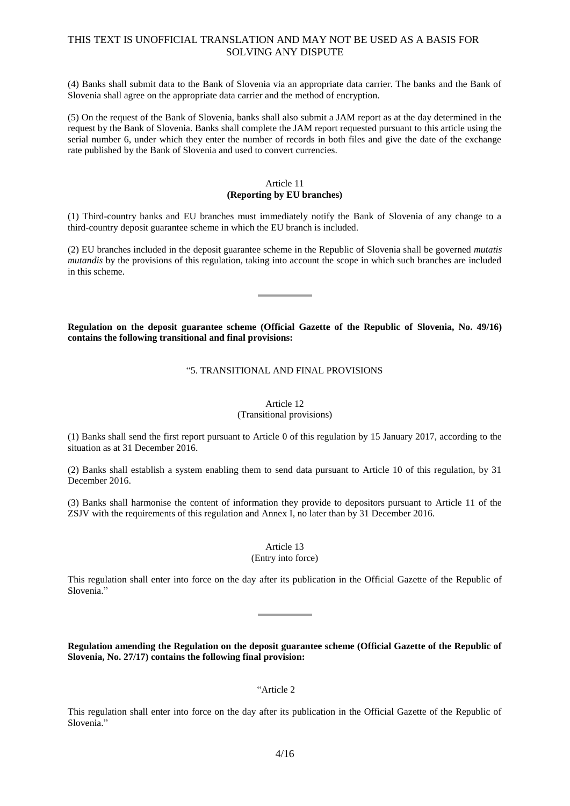(4) Banks shall submit data to the Bank of Slovenia via an appropriate data carrier. The banks and the Bank of Slovenia shall agree on the appropriate data carrier and the method of encryption.

(5) On the request of the Bank of Slovenia, banks shall also submit a JAM report as at the day determined in the request by the Bank of Slovenia. Banks shall complete the JAM report requested pursuant to this article using the serial number 6, under which they enter the number of records in both files and give the date of the exchange rate published by the Bank of Slovenia and used to convert currencies.

### Article 11 **(Reporting by EU branches)**

(1) Third-country banks and EU branches must immediately notify the Bank of Slovenia of any change to a third-country deposit guarantee scheme in which the EU branch is included.

(2) EU branches included in the deposit guarantee scheme in the Republic of Slovenia shall be governed *mutatis mutandis* by the provisions of this regulation, taking into account the scope in which such branches are included in this scheme.

**Regulation on the deposit guarantee scheme (Official Gazette of the Republic of Slovenia, No. 49/16) contains the following transitional and final provisions:**

### "5. TRANSITIONAL AND FINAL PROVISIONS

# Article 12

(Transitional provisions)

(1) Banks shall send the first report pursuant to Article 0 of this regulation by 15 January 2017, according to the situation as at 31 December 2016.

(2) Banks shall establish a system enabling them to send data pursuant to Article 10 of this regulation, by 31 December 2016.

(3) Banks shall harmonise the content of information they provide to depositors pursuant to Article 11 of the ZSJV with the requirements of this regulation and Annex I, no later than by 31 December 2016.

## Article 13

### (Entry into force)

This regulation shall enter into force on the day after its publication in the Official Gazette of the Republic of Slovenia."

**Regulation amending the Regulation on the deposit guarantee scheme (Official Gazette of the Republic of Slovenia, No. 27/17) contains the following final provision:**

### "Article 2

This regulation shall enter into force on the day after its publication in the Official Gazette of the Republic of Slovenia."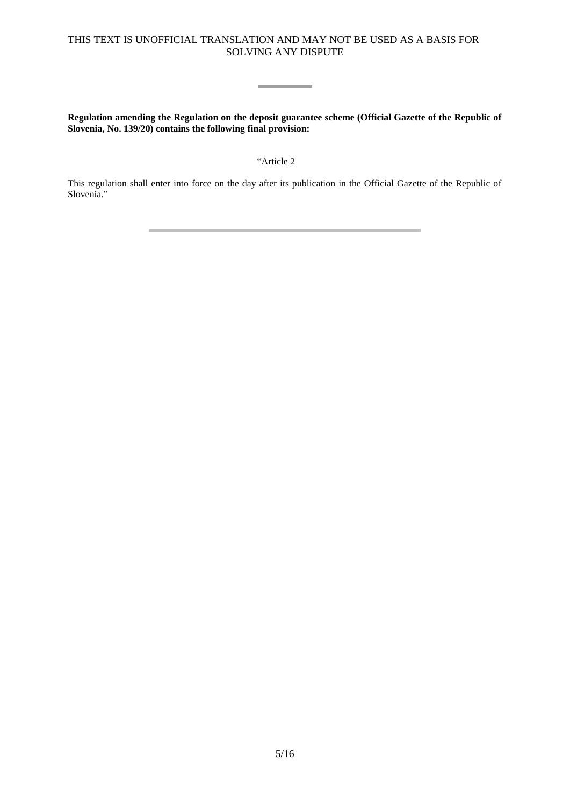Ē

**Regulation amending the Regulation on the deposit guarantee scheme (Official Gazette of the Republic of Slovenia, No. 139/20) contains the following final provision:**

"Article 2

This regulation shall enter into force on the day after its publication in the Official Gazette of the Republic of Slovenia."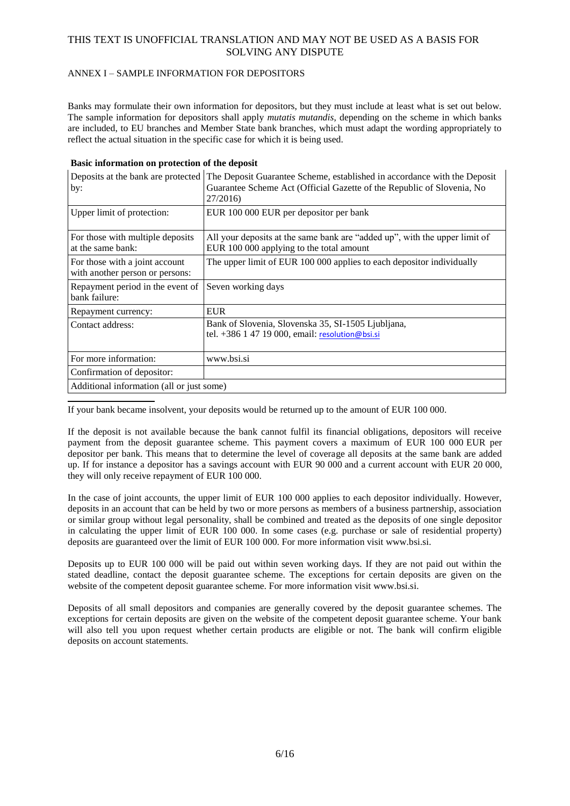### ANNEX I – SAMPLE INFORMATION FOR DEPOSITORS

Banks may formulate their own information for depositors, but they must include at least what is set out below. The sample information for depositors shall apply *mutatis mutandis*, depending on the scheme in which banks are included, to EU branches and Member State bank branches, which must adapt the wording appropriately to reflect the actual situation in the specific case for which it is being used.

|  |  | Basic information on protection of the deposit |  |  |  |  |  |
|--|--|------------------------------------------------|--|--|--|--|--|
|--|--|------------------------------------------------|--|--|--|--|--|

| Deposits at the bank are protected<br>by:<br>Upper limit of protection: | The Deposit Guarantee Scheme, established in accordance with the Deposit<br>Guarantee Scheme Act (Official Gazette of the Republic of Slovenia, No<br>27/2016)<br>EUR 100 000 EUR per depositor per bank |  |  |  |
|-------------------------------------------------------------------------|----------------------------------------------------------------------------------------------------------------------------------------------------------------------------------------------------------|--|--|--|
| For those with multiple deposits<br>at the same bank:                   | All your deposits at the same bank are "added up", with the upper limit of<br>EUR 100 000 applying to the total amount                                                                                   |  |  |  |
| For those with a joint account<br>with another person or persons:       | The upper limit of EUR 100 000 applies to each depositor individually                                                                                                                                    |  |  |  |
| Repayment period in the event of<br>bank failure:                       | Seven working days                                                                                                                                                                                       |  |  |  |
| Repayment currency:                                                     | <b>EUR</b>                                                                                                                                                                                               |  |  |  |
| Contact address:                                                        | Bank of Slovenia, Slovenska 35, SI-1505 Ljubljana,<br>tel. +386 1 47 19 000, email: resolution@bsi.si                                                                                                    |  |  |  |
| For more information:                                                   | www.bsi.si                                                                                                                                                                                               |  |  |  |
| Confirmation of depositor:                                              |                                                                                                                                                                                                          |  |  |  |
| Additional information (all or just some)                               |                                                                                                                                                                                                          |  |  |  |

If your bank became insolvent, your deposits would be returned up to the amount of EUR 100 000.

If the deposit is not available because the bank cannot fulfil its financial obligations, depositors will receive payment from the deposit guarantee scheme. This payment covers a maximum of EUR 100 000 EUR per depositor per bank. This means that to determine the level of coverage all deposits at the same bank are added up. If for instance a depositor has a savings account with EUR 90 000 and a current account with EUR 20 000, they will only receive repayment of EUR 100 000.

In the case of joint accounts, the upper limit of EUR 100 000 applies to each depositor individually. However, deposits in an account that can be held by two or more persons as members of a business partnership, association or similar group without legal personality, shall be combined and treated as the deposits of one single depositor in calculating the upper limit of EUR 100 000. In some cases (e.g. purchase or sale of residential property) deposits are guaranteed over the limit of EUR 100 000. For more information visit www.bsi.si.

Deposits up to EUR 100 000 will be paid out within seven working days. If they are not paid out within the stated deadline, contact the deposit guarantee scheme. The exceptions for certain deposits are given on the website of the competent deposit guarantee scheme. For more information visit www.bsi.si.

Deposits of all small depositors and companies are generally covered by the deposit guarantee schemes. The exceptions for certain deposits are given on the website of the competent deposit guarantee scheme. Your bank will also tell you upon request whether certain products are eligible or not. The bank will confirm eligible deposits on account statements.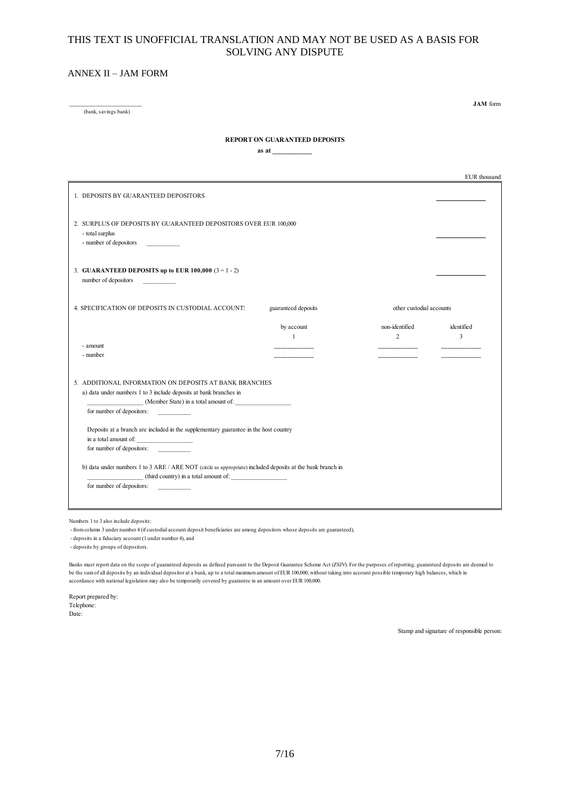#### ANNEX II – JAM FORM

\_\_\_\_\_\_\_\_\_\_\_\_\_\_\_\_\_\_\_\_\_\_ (bank, savings bank)

**JAM** form

#### **REPORT ON GUARANTEED DEPOSITS**

**as at \_\_\_\_\_\_\_\_\_\_\_\_**

|                                                                                                                                                     |                     |                          | EUR thousand |
|-----------------------------------------------------------------------------------------------------------------------------------------------------|---------------------|--------------------------|--------------|
| 1. DEPOSITS BY GUARANTEED DEPOSITORS                                                                                                                |                     |                          |              |
| 2. SURPLUS OF DEPOSITS BY GUARANTEED DEPOSITORS OVER EUR 100,000<br>- total surplus<br>- number of depositors                                       |                     |                          |              |
| 3. GUARANTEED DEPOSITS up to EUR 100,000 $(3 = 1 - 2)$<br>number of depositors<br><u> Communication</u>                                             |                     |                          |              |
| 4. SPECIFICATION OF DEPOSITS IN CUSTODIAL ACCOUNT:                                                                                                  | guaranteed deposits | other custodial accounts |              |
|                                                                                                                                                     | by account          | non-identified           | identified   |
|                                                                                                                                                     | $\mathbf{1}$        | 2                        | 3            |
| - amount                                                                                                                                            |                     |                          |              |
| - number                                                                                                                                            |                     |                          |              |
| 5. ADDITIONAL INFORMATION ON DEPOSITS AT BANK BRANCHES                                                                                              |                     |                          |              |
| a) data under numbers 1 to 3 include deposits at bank branches in                                                                                   |                     |                          |              |
|                                                                                                                                                     |                     |                          |              |
| for number of depositors:                                                                                                                           |                     |                          |              |
| Deposits at a branch are included in the supplementary guarantee in the host country<br>for number of depositors:                                   |                     |                          |              |
| b) data under numbers 1 to 3 ARE / ARE NOT (circle as appropriate) included deposits at the bank branch in<br>(third country) in a total amount of: |                     |                          |              |
| for number of depositors:                                                                                                                           |                     |                          |              |
|                                                                                                                                                     |                     |                          |              |
|                                                                                                                                                     |                     |                          |              |

Numbers 1 to 3 also include deposits:

- from column 3 under number 4 (if custodial account deposit beneficiaries are among depositors whose deposits are guaranteed),

- deposits in a fiduciary account (1 under number 4), and

- deposits by groups of depositors.

Banks must report data on the scope of guaranteed deposits as defined pursuant to the Deposit Guarantee Scheme Act (ZSJV). For the purposes of reporting, guaranteed deposits are deemed to be the sum of all deposits by an individual depositor at a bank, up to a total maximum amount of EUR 100,000, without taking into account possible temporary high balances, which in accordance with national legislation may also be temporarily covered by guarantee in an amount over EUR 100,000.

Report prepared by: Telephone: Date:

Stamp and signature of responsible person: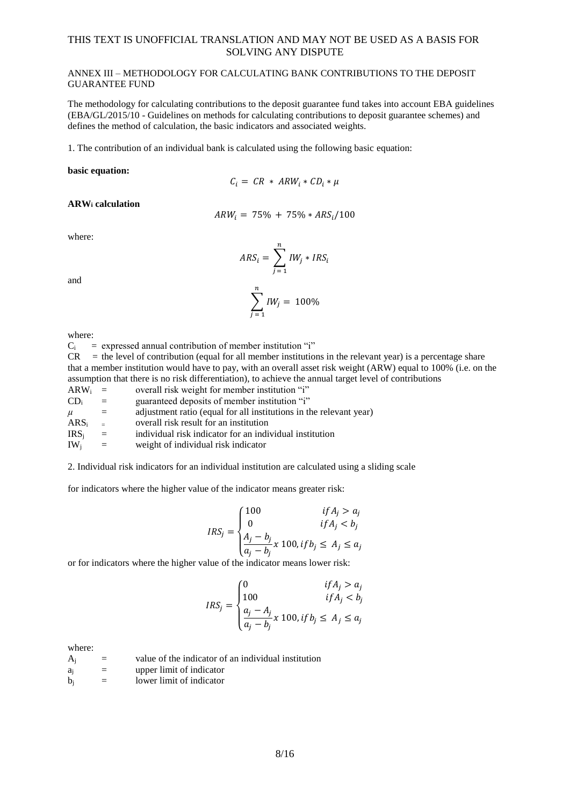### ANNEX III – METHODOLOGY FOR CALCULATING BANK CONTRIBUTIONS TO THE DEPOSIT GUARANTEE FUND

The methodology for calculating contributions to the deposit guarantee fund takes into account EBA guidelines (EBA/GL/2015/10 - Guidelines on methods for calculating contributions to deposit guarantee schemes) and defines the method of calculation, the basic indicators and associated weights.

1. The contribution of an individual bank is calculated using the following basic equation:

#### **basic equation:**

$$
C_i = CR * ARW_i * CD_i * \mu
$$

#### **ARW<sup>i</sup> calculation**

$$
ARW_i = 75\% + 75\% * ARS_i/100
$$

where:

and

$$
ARS_i = \sum_{j=1}^{n} IW_j * IRS_i
$$

$$
\sum_{j=1}^{n} IW_j = 100\%
$$

where:

 $C_i$  = expressed annual contribution of member institution "i"

 $CR =$  the level of contribution (equal for all member institutions in the relevant year) is a percentage share that a member institution would have to pay, with an overall asset risk weight (ARW) equal to 100% (i.e. on the assumption that there is no risk differentiation), to achieve the annual target level of contributions

| ARW <sub>i</sub> | $=$      | overall risk weight for member institution "i"                     |
|------------------|----------|--------------------------------------------------------------------|
| $CD_i$           | $=$      | guaranteed deposits of member institution "i"                      |
| $\mu$            | $=$      | adjustment ratio (equal for all institutions in the relevant year) |
| $ARS_i$          | $\equiv$ | overall risk result for an institution                             |
| IRS <sub>i</sub> | $=$      | individual risk indicator for an individual institution            |
| $IW_i$           | $=$      | weight of individual risk indicator                                |

2. Individual risk indicators for an individual institution are calculated using a sliding scale

for indicators where the higher value of the indicator means greater risk:

$$
IRS_j = \begin{cases} 100 & if A_j > a_j \\ 0 & if A_j < b_j \\ \frac{A_j - b_j}{a_j - b_j} x 100, if b_j \le A_j \le a_j \end{cases}
$$

or for indicators where the higher value of the indicator means lower risk:

$$
IRS_j = \begin{cases} 0 & if A_j > a_j \\ 100 & if A_j < b_j \\ \frac{a_j - A_j}{a_j - b_j} x \ 100, if b_j \le A_j \le a_j \end{cases}
$$

where:

| $A_i$          | $=$ | value of the indicator of an individual institution |
|----------------|-----|-----------------------------------------------------|
| a <sub>i</sub> | $=$ | upper limit of indicator                            |
| $b_i$          | $=$ | lower limit of indicator                            |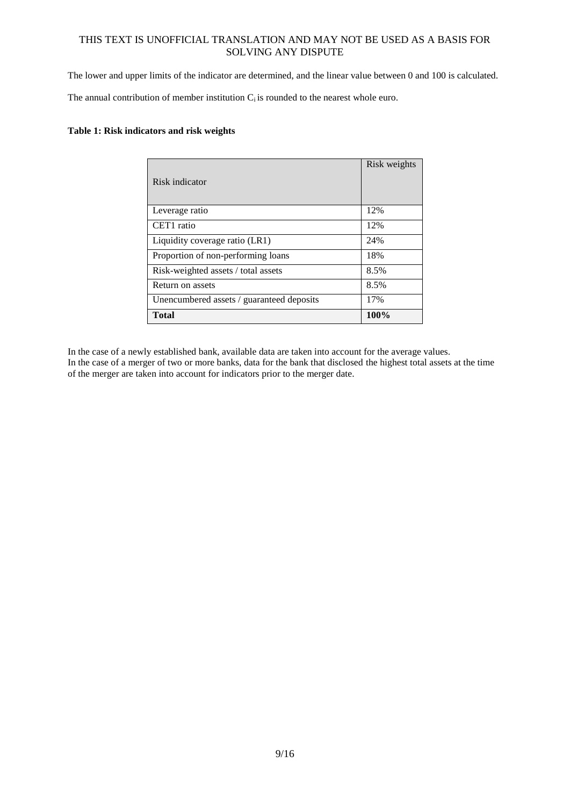The lower and upper limits of the indicator are determined, and the linear value between 0 and 100 is calculated.

The annual contribution of member institution  $C_i$  is rounded to the nearest whole euro.

## **Table 1: Risk indicators and risk weights**

| Risk indicator                            | Risk weights |
|-------------------------------------------|--------------|
| Leverage ratio                            | 12%          |
| CET1 ratio                                | 12%          |
| Liquidity coverage ratio (LR1)            | 24%          |
| Proportion of non-performing loans        | 18%          |
| Risk-weighted assets / total assets       | 8.5%         |
| Return on assets                          | 8.5%         |
| Unencumbered assets / guaranteed deposits | 17%          |
| Total                                     | 100%         |

In the case of a newly established bank, available data are taken into account for the average values. In the case of a merger of two or more banks, data for the bank that disclosed the highest total assets at the time of the merger are taken into account for indicators prior to the merger date.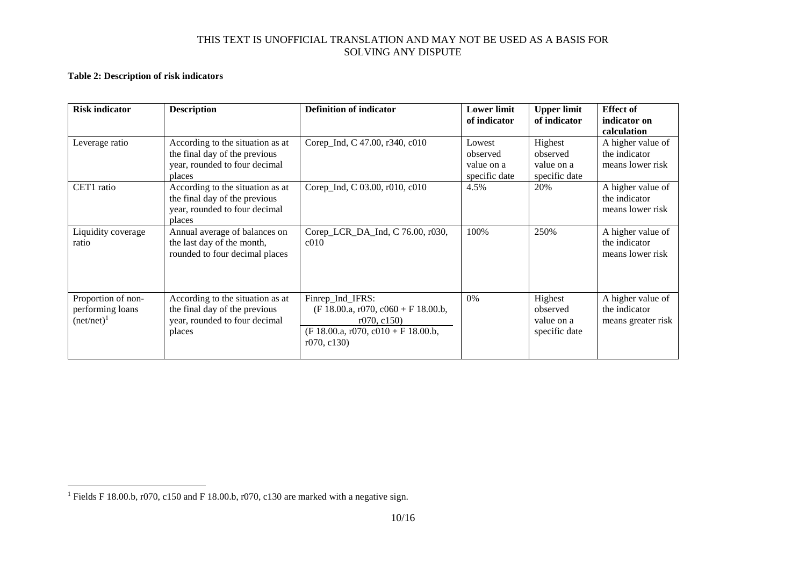## **Table 2: Description of risk indicators**

 $\overline{a}$ 

| <b>Risk indicator</b>                                   | <b>Description</b>                                                                                           | <b>Definition of indicator</b>                                                                                                 | <b>Lower limit</b><br>of indicator                | <b>Upper limit</b><br>of indicator                 | <b>Effect of</b><br>indicator on                         |
|---------------------------------------------------------|--------------------------------------------------------------------------------------------------------------|--------------------------------------------------------------------------------------------------------------------------------|---------------------------------------------------|----------------------------------------------------|----------------------------------------------------------|
|                                                         |                                                                                                              |                                                                                                                                |                                                   |                                                    | calculation                                              |
| Leverage ratio                                          | According to the situation as at<br>the final day of the previous<br>year, rounded to four decimal<br>places | Corep_Ind, C 47.00, r340, c010                                                                                                 | Lowest<br>observed<br>value on a<br>specific date | Highest<br>observed<br>value on a<br>specific date | A higher value of<br>the indicator<br>means lower risk   |
| CET1 ratio                                              | According to the situation as at<br>the final day of the previous<br>year, rounded to four decimal<br>places | Corep_Ind, C 03.00, r010, c010                                                                                                 | 4.5%                                              | 20%                                                | A higher value of<br>the indicator<br>means lower risk   |
| Liquidity coverage<br>ratio                             | Annual average of balances on<br>the last day of the month,<br>rounded to four decimal places                | Corep_LCR_DA_Ind, C 76.00, r030,<br>c <sub>010</sub>                                                                           | 100%                                              | 250%                                               | A higher value of<br>the indicator<br>means lower risk   |
| Proportion of non-<br>performing loans<br>$(net/net)^1$ | According to the situation as at<br>the final day of the previous<br>year, rounded to four decimal<br>places | Finrep_Ind_IFRS:<br>$(F 18.00.a, r070, c060 + F 18.00.b,$<br>r070, c150<br>$(F 18.00.a, r070, c010 + F 18.00.b,$<br>r070, c130 | 0%                                                | Highest<br>observed<br>value on a<br>specific date | A higher value of<br>the indicator<br>means greater risk |

<sup>&</sup>lt;sup>1</sup> Fields F 18.00.b, r070, c150 and F 18.00.b, r070, c130 are marked with a negative sign.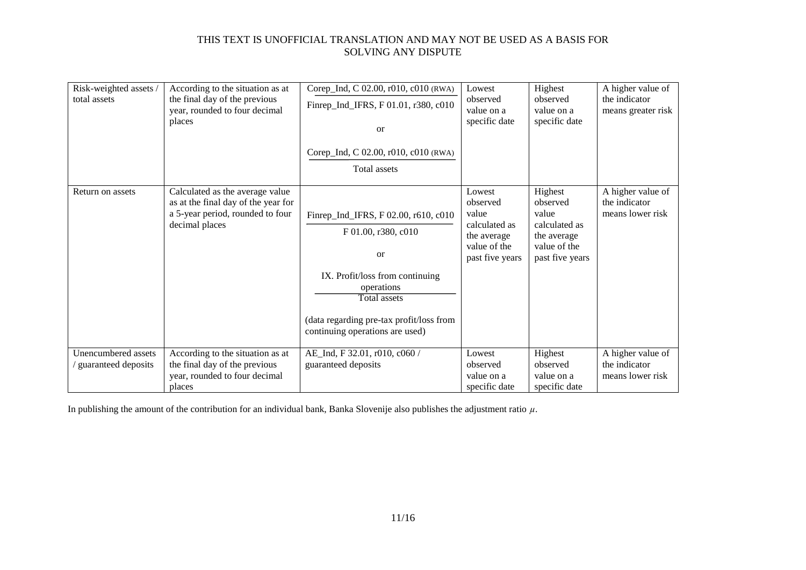| Risk-weighted assets /<br>total assets     | According to the situation as at<br>the final day of the previous<br>year, rounded to four decimal<br>places                 | Corep_Ind, C 02.00, r010, c010 (RWA)<br>Finrep_Ind_IFRS, F 01.01, r380, c010<br><sub>or</sub><br>Corep_Ind, C 02.00, r010, c010 (RWA)<br>Total assets                                                                               | Lowest<br>observed<br>value on a<br>specific date                                              | Highest<br>observed<br>value on a<br>specific date                                              | A higher value of<br>the indicator<br>means greater risk |
|--------------------------------------------|------------------------------------------------------------------------------------------------------------------------------|-------------------------------------------------------------------------------------------------------------------------------------------------------------------------------------------------------------------------------------|------------------------------------------------------------------------------------------------|-------------------------------------------------------------------------------------------------|----------------------------------------------------------|
| Return on assets                           | Calculated as the average value<br>as at the final day of the year for<br>a 5-year period, rounded to four<br>decimal places | Finrep_Ind_IFRS, F 02.00, r610, c010<br>F 01.00, r380, c010<br><sub>or</sub><br>IX. Profit/loss from continuing<br>operations<br><b>Total assets</b><br>(data regarding pre-tax profit/loss from<br>continuing operations are used) | Lowest<br>observed<br>value<br>calculated as<br>the average<br>value of the<br>past five years | Highest<br>observed<br>value<br>calculated as<br>the average<br>value of the<br>past five years | A higher value of<br>the indicator<br>means lower risk   |
| Unencumbered assets<br>guaranteed deposits | According to the situation as at<br>the final day of the previous<br>year, rounded to four decimal<br>places                 | AE_Ind, F 32.01, r010, c060 /<br>guaranteed deposits                                                                                                                                                                                | Lowest<br>observed<br>value on a<br>specific date                                              | Highest<br>observed<br>value on a<br>specific date                                              | A higher value of<br>the indicator<br>means lower risk   |

In publishing the amount of the contribution for an individual bank, Banka Slovenije also publishes the adjustment ratio *µ*.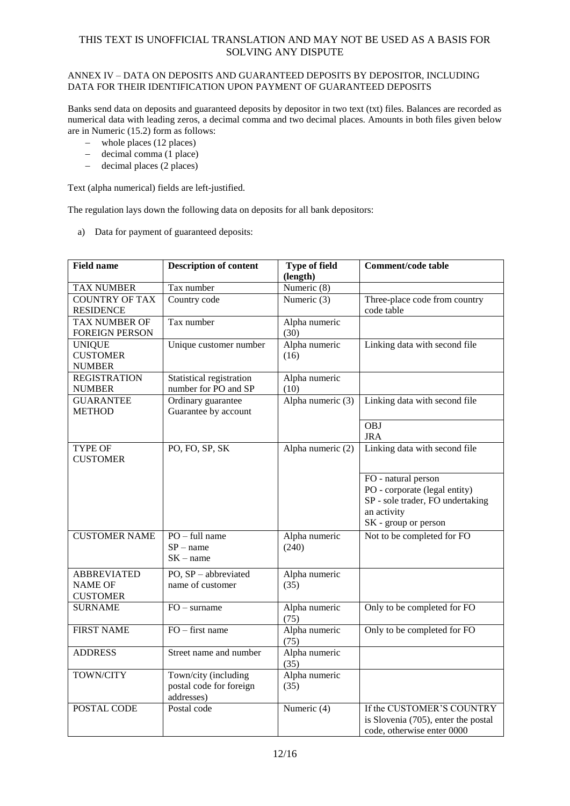### ANNEX IV – DATA ON DEPOSITS AND GUARANTEED DEPOSITS BY DEPOSITOR, INCLUDING DATA FOR THEIR IDENTIFICATION UPON PAYMENT OF GUARANTEED DEPOSITS

Banks send data on deposits and guaranteed deposits by depositor in two text (txt) files. Balances are recorded as numerical data with leading zeros, a decimal comma and two decimal places. Amounts in both files given below are in Numeric (15.2) form as follows:

- whole places (12 places)
- $-$  decimal comma (1 place)
- decimal places (2 places)

Text (alpha numerical) fields are left-justified.

The regulation lays down the following data on deposits for all bank depositors:

a) Data for payment of guaranteed deposits:

| <b>Field name</b>                                 | <b>Description of content</b><br><b>Type of field</b><br>(length) |                          | <b>Comment/code table</b>                                                                                                       |
|---------------------------------------------------|-------------------------------------------------------------------|--------------------------|---------------------------------------------------------------------------------------------------------------------------------|
| <b>TAX NUMBER</b>                                 | Tax number                                                        | Numeric (8)              |                                                                                                                                 |
| <b>COUNTRY OF TAX</b><br><b>RESIDENCE</b>         | Country code                                                      | Numeric (3)              | Three-place code from country<br>code table                                                                                     |
| <b>TAX NUMBER OF</b><br><b>FOREIGN PERSON</b>     | Tax number                                                        | Alpha numeric<br>(30)    |                                                                                                                                 |
| <b>UNIQUE</b><br><b>CUSTOMER</b><br><b>NUMBER</b> | Unique customer number                                            | Alpha numeric<br>(16)    | Linking data with second file                                                                                                   |
| <b>REGISTRATION</b><br><b>NUMBER</b>              | Statistical registration<br>number for PO and SP                  | Alpha numeric<br>(10)    |                                                                                                                                 |
| <b>GUARANTEE</b><br><b>METHOD</b>                 | Ordinary guarantee<br>Guarantee by account                        | Alpha numeric (3)        | Linking data with second file                                                                                                   |
|                                                   |                                                                   |                          | $\overline{OBJ}$<br><b>JRA</b>                                                                                                  |
| TYPE OF<br><b>CUSTOMER</b>                        | PO, FO, SP, SK                                                    | Alpha numeric (2)        | Linking data with second file                                                                                                   |
|                                                   |                                                                   |                          | FO - natural person<br>PO - corporate (legal entity)<br>SP - sole trader, FO undertaking<br>an activity<br>SK - group or person |
| <b>CUSTOMER NAME</b>                              | $PO - full name$<br>$SP - name$<br>$SK - name$                    | Alpha numeric<br>(240)   | Not to be completed for FO                                                                                                      |
| <b>ABBREVIATED</b><br>NAME OF<br><b>CUSTOMER</b>  | PO, $SP - abbreviated$<br>name of customer                        | Alpha numeric<br>(35)    |                                                                                                                                 |
| <b>SURNAME</b>                                    | $FO - sumame$                                                     | Alpha numeric<br>(75)    | Only to be completed for FO                                                                                                     |
| <b>FIRST NAME</b>                                 | $FO$ – first name                                                 | Alpha numeric<br>(75)    | Only to be completed for FO                                                                                                     |
| <b>ADDRESS</b>                                    | Street name and number                                            | Alpha numeric<br>(35)    |                                                                                                                                 |
| TOWN/CITY                                         | Town/city (including<br>postal code for foreign<br>addresses)     | Alpha numeric<br>(35)    |                                                                                                                                 |
| POSTAL CODE                                       | Postal code                                                       | Numeric $\overline{(4)}$ | If the CUSTOMER'S COUNTRY<br>is Slovenia (705), enter the postal<br>code, otherwise enter 0000                                  |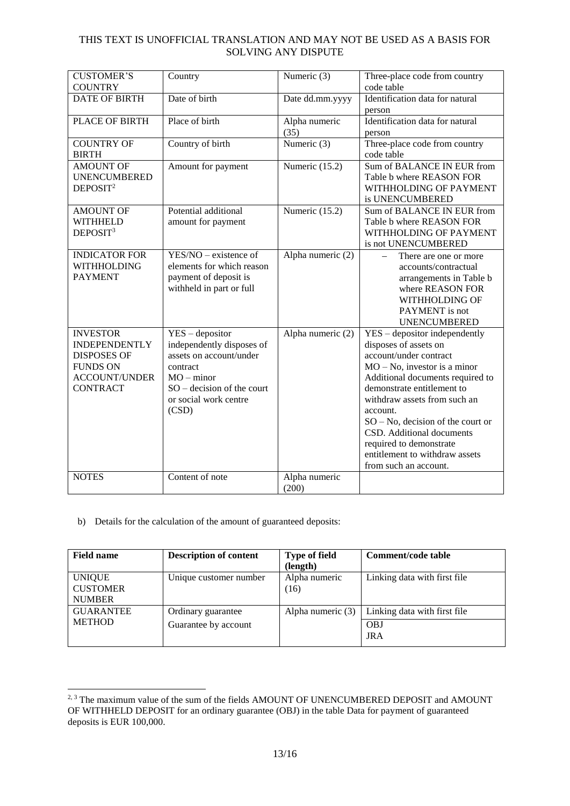| <b>CUSTOMER'S</b><br><b>COUNTRY</b>                                                                                         | Country                                                                                                                                                                 | Numeric (3)            | Three-place code from country<br>code table                                                                                                                                                                                                                                                                                                                                                  |
|-----------------------------------------------------------------------------------------------------------------------------|-------------------------------------------------------------------------------------------------------------------------------------------------------------------------|------------------------|----------------------------------------------------------------------------------------------------------------------------------------------------------------------------------------------------------------------------------------------------------------------------------------------------------------------------------------------------------------------------------------------|
| <b>DATE OF BIRTH</b>                                                                                                        | Date of birth                                                                                                                                                           | Date dd.mm.yyyy        | Identification data for natural<br>person                                                                                                                                                                                                                                                                                                                                                    |
| PLACE OF BIRTH                                                                                                              | Place of birth                                                                                                                                                          | Alpha numeric<br>(35)  | Identification data for natural<br>person                                                                                                                                                                                                                                                                                                                                                    |
| <b>COUNTRY OF</b><br><b>BIRTH</b>                                                                                           | Country of birth                                                                                                                                                        | Numeric $(3)$          | Three-place code from country<br>code table                                                                                                                                                                                                                                                                                                                                                  |
| <b>AMOUNT OF</b><br><b>UNENCUMBERED</b><br>DEPOSIT <sup>2</sup>                                                             | Amount for payment                                                                                                                                                      | Numeric (15.2)         | Sum of BALANCE IN EUR from<br>Table b where REASON FOR<br>WITHHOLDING OF PAYMENT<br>is UNENCUMBERED                                                                                                                                                                                                                                                                                          |
| <b>AMOUNT OF</b><br><b>WITHHELD</b><br>DEPOSIT <sup>3</sup>                                                                 | Potential additional<br>amount for payment                                                                                                                              | Numeric (15.2)         | Sum of BALANCE IN EUR from<br>Table b where REASON FOR<br>WITHHOLDING OF PAYMENT<br>is not UNENCUMBERED                                                                                                                                                                                                                                                                                      |
| <b>INDICATOR FOR</b><br><b>WITHHOLDING</b><br><b>PAYMENT</b>                                                                | $YES/NO - existence of$<br>elements for which reason<br>payment of deposit is<br>withheld in part or full                                                               | Alpha numeric (2)      | There are one or more<br>accounts/contractual<br>arrangements in Table b<br>where REASON FOR<br><b>WITHHOLDING OF</b><br>PAYMENT is not<br><b>UNENCUMBERED</b>                                                                                                                                                                                                                               |
| <b>INVESTOR</b><br><b>INDEPENDENTLY</b><br><b>DISPOSES OF</b><br><b>FUNDS ON</b><br><b>ACCOUNT/UNDER</b><br><b>CONTRACT</b> | $YES - depositor$<br>independently disposes of<br>assets on account/under<br>contract<br>$MO - minor$<br>$SO -$ decision of the court<br>or social work centre<br>(CSD) | Alpha numeric (2)      | YES - depositor independently<br>disposes of assets on<br>account/under contract<br>$MO - No$ , investor is a minor<br>Additional documents required to<br>demonstrate entitlement to<br>withdraw assets from such an<br>account.<br>$SO - No$ , decision of the court or<br>CSD. Additional documents<br>required to demonstrate<br>entitlement to withdraw assets<br>from such an account. |
| <b>NOTES</b>                                                                                                                | Content of note                                                                                                                                                         | Alpha numeric<br>(200) |                                                                                                                                                                                                                                                                                                                                                                                              |

## b) Details for the calculation of the amount of guaranteed deposits:

-

| <b>Field name</b> | <b>Description of content</b> | <b>Type of field</b> | Comment/code table           |
|-------------------|-------------------------------|----------------------|------------------------------|
|                   |                               | (length)             |                              |
| <b>UNIQUE</b>     | Unique customer number        | Alpha numeric        | Linking data with first file |
| <b>CUSTOMER</b>   |                               | (16)                 |                              |
| <b>NUMBER</b>     |                               |                      |                              |
| <b>GUARANTEE</b>  | Ordinary guarantee            | Alpha numeric (3)    | Linking data with first file |
| <b>METHOD</b>     | Guarantee by account          |                      | <b>OBJ</b>                   |
|                   |                               |                      | <b>JRA</b>                   |

<sup>&</sup>lt;sup>2, 3</sup> The maximum value of the sum of the fields AMOUNT OF UNENCUMBERED DEPOSIT and AMOUNT OF WITHHELD DEPOSIT for an ordinary guarantee (OBJ) in the table Data for payment of guaranteed deposits is EUR 100,000.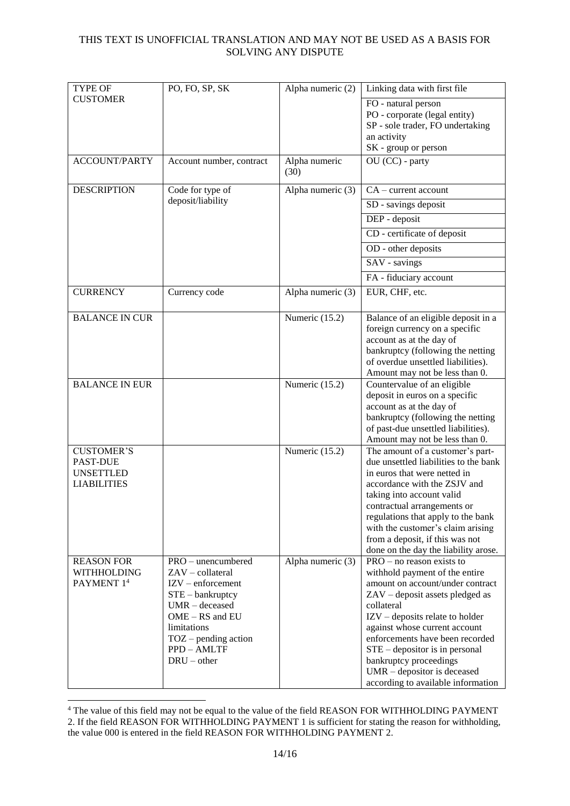| TYPE OF                                | PO, FO, SP, SK                          | Alpha numeric (2)     | Linking data with first file                                  |
|----------------------------------------|-----------------------------------------|-----------------------|---------------------------------------------------------------|
| <b>CUSTOMER</b>                        |                                         |                       | FO - natural person                                           |
|                                        |                                         |                       | PO - corporate (legal entity)                                 |
|                                        |                                         |                       | SP - sole trader, FO undertaking                              |
|                                        |                                         |                       | an activity                                                   |
|                                        |                                         |                       | SK - group or person                                          |
| <b>ACCOUNT/PARTY</b>                   | Account number, contract                | Alpha numeric<br>(30) | OU (CC) - party                                               |
| <b>DESCRIPTION</b>                     | Code for type of                        | Alpha numeric (3)     | $CA$ – current account                                        |
|                                        | deposit/liability                       |                       | SD - savings deposit                                          |
|                                        |                                         |                       | DEP - deposit                                                 |
|                                        |                                         |                       | CD - certificate of deposit                                   |
|                                        |                                         |                       | OD - other deposits                                           |
|                                        |                                         |                       | SAV - savings                                                 |
|                                        |                                         |                       | FA - fiduciary account                                        |
| <b>CURRENCY</b>                        | Currency code                           | Alpha numeric (3)     | EUR, CHF, etc.                                                |
| <b>BALANCE IN CUR</b>                  |                                         | Numeric (15.2)        | Balance of an eligible deposit in a                           |
|                                        |                                         |                       | foreign currency on a specific                                |
|                                        |                                         |                       | account as at the day of                                      |
|                                        |                                         |                       | bankruptcy (following the netting                             |
|                                        |                                         |                       | of overdue unsettled liabilities).                            |
| <b>BALANCE IN EUR</b>                  |                                         | Numeric (15.2)        | Amount may not be less than 0.<br>Countervalue of an eligible |
|                                        |                                         |                       | deposit in euros on a specific                                |
|                                        |                                         |                       | account as at the day of                                      |
|                                        |                                         |                       | bankruptcy (following the netting                             |
|                                        |                                         |                       | of past-due unsettled liabilities).                           |
|                                        |                                         |                       | Amount may not be less than 0.                                |
| <b>CUSTOMER'S</b>                      |                                         | Numeric (15.2)        | The amount of a customer's part-                              |
| <b>PAST-DUE</b>                        |                                         |                       | due unsettled liabilities to the bank                         |
| <b>UNSETTLED</b><br><b>LIABILITIES</b> |                                         |                       | in euros that were netted in<br>accordance with the ZSJV and  |
|                                        |                                         |                       | taking into account valid                                     |
|                                        |                                         |                       | contractual arrangements or                                   |
|                                        |                                         |                       | regulations that apply to the bank                            |
|                                        |                                         |                       | with the customer's claim arising                             |
|                                        |                                         |                       | from a deposit, if this was not                               |
|                                        |                                         |                       | done on the day the liability arose.                          |
| <b>REASON FOR</b>                      | PRO - unencumbered                      | Alpha numeric (3)     | $PRO - no reason exists to$                                   |
| <b>WITHHOLDING</b>                     | $ZAV - collateral$                      |                       | withhold payment of the entire                                |
| PAYMENT 14                             | $IZV$ – enforcement                     |                       | amount on account/under contract                              |
|                                        | $STE$ – bankruptcy<br>$UMR - decreased$ |                       | ZAV - deposit assets pledged as<br>collateral                 |
|                                        | OME - RS and EU                         |                       | $IZV - \text{deposits relate to holder}$                      |
|                                        | limitations                             |                       | against whose current account                                 |
|                                        | $TOZ$ – pending action                  |                       | enforcements have been recorded                               |
|                                        | PPD - AMLTF                             |                       | $STE$ – depositor is in personal                              |
|                                        | $DRU - other$                           |                       | bankruptcy proceedings                                        |
|                                        |                                         |                       | $UMR -$ depositor is deceased                                 |
|                                        |                                         |                       | according to available information                            |

<sup>&</sup>lt;sup>4</sup> The value of this field may not be equal to the value of the field REASON FOR WITHHOLDING PAYMENT 2. If the field REASON FOR WITHHOLDING PAYMENT 1 is sufficient for stating the reason for withholding, the value 000 is entered in the field REASON FOR WITHHOLDING PAYMENT 2.

1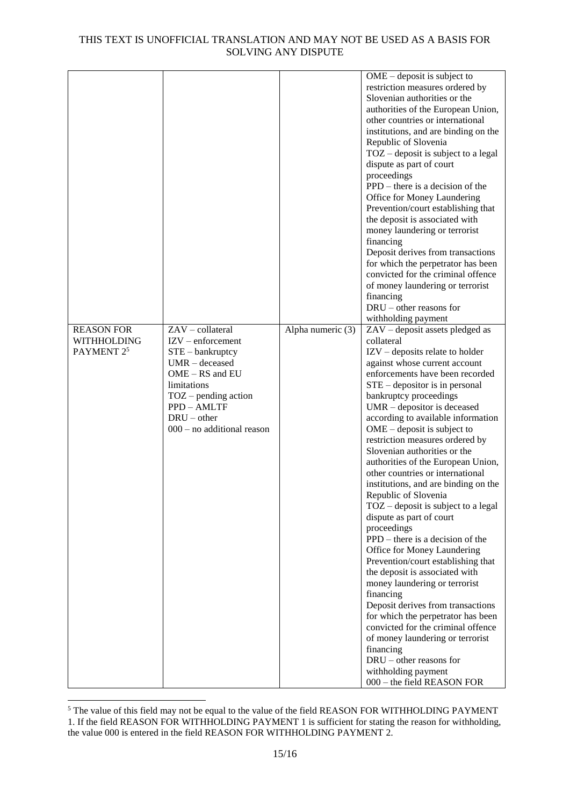|                       |                              |                   | $OME - deposit$ is subject to            |
|-----------------------|------------------------------|-------------------|------------------------------------------|
|                       |                              |                   | restriction measures ordered by          |
|                       |                              |                   | Slovenian authorities or the             |
|                       |                              |                   | authorities of the European Union,       |
|                       |                              |                   | other countries or international         |
|                       |                              |                   | institutions, and are binding on the     |
|                       |                              |                   | Republic of Slovenia                     |
|                       |                              |                   | $TOZ$ – deposit is subject to a legal    |
|                       |                              |                   | dispute as part of court                 |
|                       |                              |                   | proceedings                              |
|                       |                              |                   | $PPD$ – there is a decision of the       |
|                       |                              |                   | Office for Money Laundering              |
|                       |                              |                   | Prevention/court establishing that       |
|                       |                              |                   | the deposit is associated with           |
|                       |                              |                   | money laundering or terrorist            |
|                       |                              |                   | financing                                |
|                       |                              |                   | Deposit derives from transactions        |
|                       |                              |                   | for which the perpetrator has been       |
|                       |                              |                   | convicted for the criminal offence       |
|                       |                              |                   | of money laundering or terrorist         |
|                       |                              |                   | financing                                |
|                       |                              |                   | $DRU$ – other reasons for                |
|                       |                              |                   | withholding payment                      |
| <b>REASON FOR</b>     | $ZAV - collateral$           | Alpha numeric (3) | ZAV - deposit assets pledged as          |
| <b>WITHHOLDING</b>    | $IZV$ – enforcement          |                   | collateral                               |
| PAYMENT <sub>25</sub> | $STE - bankruptcy$           |                   | $IZV - \text{deposits relate to holder}$ |
|                       | $UMR - decreased$            |                   | against whose current account            |
|                       | OME - RS and EU              |                   | enforcements have been recorded          |
|                       | limitations                  |                   | $STE$ – depositor is in personal         |
|                       | $TOZ$ – pending action       |                   | bankruptcy proceedings                   |
|                       | PPD - AMLTF                  |                   | $UMR -$ depositor is deceased            |
|                       | $DRU - other$                |                   | according to available information       |
|                       | $000 - no$ additional reason |                   | $OME - deposit$ is subject to            |
|                       |                              |                   | restriction measures ordered by          |
|                       |                              |                   | Slovenian authorities or the             |
|                       |                              |                   | authorities of the European Union,       |
|                       |                              |                   | other countries or international         |
|                       |                              |                   | institutions, and are binding on the     |
|                       |                              |                   | Republic of Slovenia                     |
|                       |                              |                   | $TOZ$ – deposit is subject to a legal    |
|                       |                              |                   | dispute as part of court                 |
|                       |                              |                   | proceedings                              |
|                       |                              |                   | PPD – there is a decision of the         |
|                       |                              |                   | Office for Money Laundering              |
|                       |                              |                   | Prevention/court establishing that       |
|                       |                              |                   | the deposit is associated with           |
|                       |                              |                   | money laundering or terrorist            |
|                       |                              |                   | financing                                |
|                       |                              |                   | Deposit derives from transactions        |
|                       |                              |                   | for which the perpetrator has been       |
|                       |                              |                   | convicted for the criminal offence       |
|                       |                              |                   | of money laundering or terrorist         |
|                       |                              |                   | financing                                |
|                       |                              |                   | DRU – other reasons for                  |
|                       |                              |                   | withholding payment                      |
|                       |                              |                   | 000 - the field REASON FOR               |
|                       |                              |                   |                                          |

<sup>&</sup>lt;sup>5</sup> The value of this field may not be equal to the value of the field REASON FOR WITHHOLDING PAYMENT 1. If the field REASON FOR WITHHOLDING PAYMENT 1 is sufficient for stating the reason for withholding, the value 000 is entered in the field REASON FOR WITHHOLDING PAYMENT 2.

1